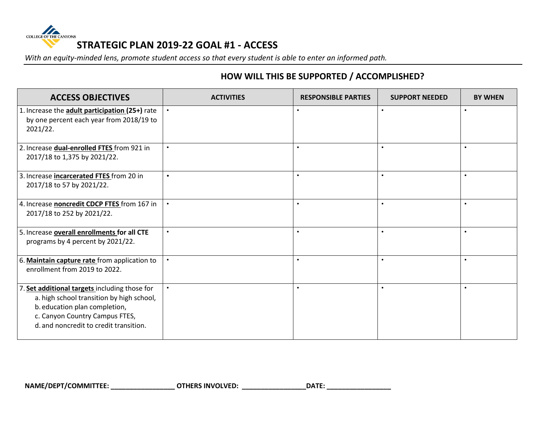

*With an equity-minded lens, promote student access so that every student is able to enter an informed path.*

## **HOW WILL THIS BE SUPPORTED / ACCOMPLISHED?**

| <b>ACCESS OBJECTIVES</b>                                                                                                                                                                             | <b>ACTIVITIES</b> | <b>RESPONSIBLE PARTIES</b> | <b>SUPPORT NEEDED</b> | <b>BY WHEN</b> |
|------------------------------------------------------------------------------------------------------------------------------------------------------------------------------------------------------|-------------------|----------------------------|-----------------------|----------------|
| 1. Increase the adult participation (25+) rate<br>by one percent each year from 2018/19 to<br>2021/22.                                                                                               | $\bullet$         | $\bullet$                  | $\bullet$             | $\bullet$      |
| 2. Increase dual-enrolled FTES from 921 in<br>2017/18 to 1,375 by 2021/22.                                                                                                                           | $\bullet$         | $\bullet$                  | $\bullet$             |                |
| 3. Increase incarcerated FTES from 20 in<br>2017/18 to 57 by 2021/22.                                                                                                                                | $\bullet$         |                            | $\bullet$             |                |
| 4. Increase noncredit CDCP FTES from 167 in<br>2017/18 to 252 by 2021/22.                                                                                                                            | $\bullet$         |                            | $\bullet$             | $\bullet$      |
| 5. Increase overall enrollments for all CTE<br>programs by 4 percent by 2021/22.                                                                                                                     | $\bullet$         |                            | $\bullet$             |                |
| 6. Maintain capture rate from application to<br>enrollment from 2019 to 2022.                                                                                                                        | $\bullet$         |                            | $\bullet$             |                |
| Set additional targets including those for<br>a. high school transition by high school,<br>b. education plan completion,<br>c. Canyon Country Campus FTES,<br>d. and noncredit to credit transition. | $\bullet$         |                            | $\bullet$             |                |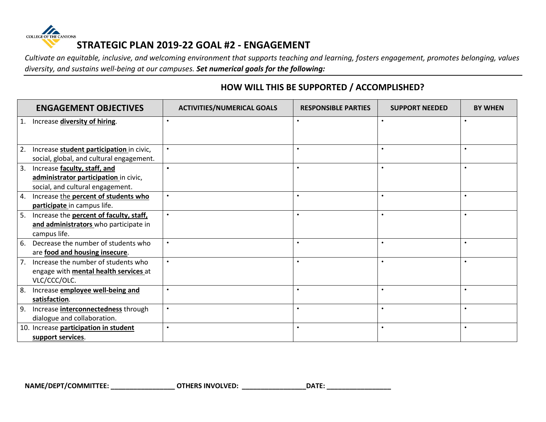

*Cultivate an equitable, inclusive, and welcoming environment that supports teaching and learning, fosters engagement, promotes belonging, values diversity, and sustains well-being at our campuses. Set numerical goals for the following:*

|    | <b>ENGAGEMENT OBJECTIVES</b>                 | <b>ACTIVITIES/NUMERICAL GOALS</b> | <b>RESPONSIBLE PARTIES</b> | <b>SUPPORT NEEDED</b> | <b>BY WHEN</b> |
|----|----------------------------------------------|-----------------------------------|----------------------------|-----------------------|----------------|
|    | 1. Increase diversity of hiring.             | $\bullet$                         |                            |                       | $\bullet$      |
|    |                                              |                                   |                            |                       |                |
| 2. | Increase student participation in civic,     |                                   |                            |                       |                |
|    | social, global, and cultural engagement.     |                                   |                            |                       |                |
| 3. | Increase faculty, staff, and                 | $\bullet$                         |                            |                       |                |
|    | administrator participation in civic,        |                                   |                            |                       |                |
|    | social, and cultural engagement.             |                                   |                            |                       |                |
|    | 4. Increase the percent of students who      | $\bullet$                         |                            |                       | $\bullet$      |
|    | participate in campus life.                  |                                   |                            |                       |                |
| 5. | Increase the percent of faculty, staff,      |                                   |                            |                       | $\bullet$      |
|    | and administrators who participate in        |                                   |                            |                       |                |
|    | campus life.                                 |                                   |                            |                       |                |
| 6. | Decrease the number of students who          | $\bullet$                         |                            |                       | $\bullet$      |
|    | are food and housing insecure.               |                                   |                            |                       |                |
|    | Increase the number of students who          |                                   |                            |                       |                |
|    | engage with <b>mental health services</b> at |                                   |                            |                       |                |
|    | VLC/CCC/OLC.                                 |                                   |                            |                       |                |
| 8. | Increase employee well-being and             | $\bullet$                         |                            |                       | $\bullet$      |
|    | satisfaction.                                |                                   |                            |                       |                |
| 9. | Increase <b>interconnectedness</b> through   | $\bullet$                         |                            |                       | $\bullet$      |
|    | dialogue and collaboration.                  |                                   |                            |                       |                |
|    | 10. Increase participation in student        | $\bullet$                         |                            |                       | $\bullet$      |
|    | support services.                            |                                   |                            |                       |                |

## **HOW WILL THIS BE SUPPORTED / ACCOMPLISHED?**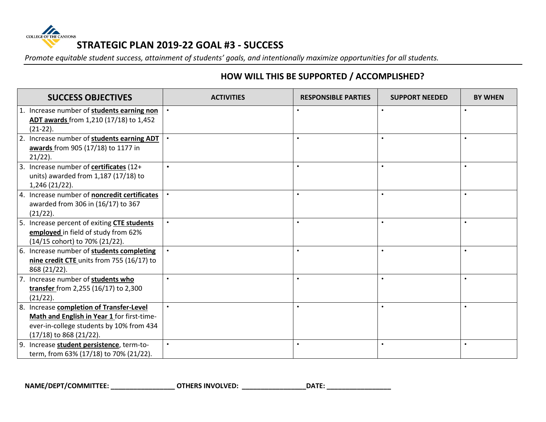

*Promote equitable student success, attainment of students' goals, and intentionally maximize opportunities for all students.*

## **HOW WILL THIS BE SUPPORTED / ACCOMPLISHED?**

| <b>SUCCESS OBJECTIVES</b>                                                                                                                                     | <b>ACTIVITIES</b> | <b>RESPONSIBLE PARTIES</b> | <b>SUPPORT NEEDED</b> | <b>BY WHEN</b> |
|---------------------------------------------------------------------------------------------------------------------------------------------------------------|-------------------|----------------------------|-----------------------|----------------|
| 1. Increase number of students earning non<br>ADT awards from 1,210 (17/18) to 1,452<br>$(21-22).$                                                            |                   |                            |                       |                |
| 2. Increase number of students earning ADT<br>awards from 905 (17/18) to 1177 in<br>$21/22$ ).                                                                |                   | $\bullet$                  |                       |                |
| 3. Increase number of certificates (12+<br>units) awarded from 1,187 (17/18) to<br>1,246 (21/22).                                                             |                   | $\bullet$                  |                       |                |
| 4. Increase number of noncredit certificates<br>awarded from 306 in (16/17) to 367<br>(21/22).                                                                |                   | $\bullet$                  |                       |                |
| 5. Increase percent of exiting CTE students<br>employed in field of study from 62%<br>(14/15 cohort) to 70% (21/22).                                          |                   |                            |                       |                |
| 6. Increase number of students completing<br>nine credit CTE units from 755 (16/17) to<br>868 (21/22).                                                        |                   | $\bullet$                  |                       |                |
| 7. Increase number of students who<br>transfer from 2,255 (16/17) to 2,300<br>(21/22).                                                                        |                   | $\bullet$                  |                       | $\bullet$      |
| 8. Increase completion of Transfer-Level<br>Math and English in Year 1 for first-time-<br>ever-in-college students by 10% from 434<br>(17/18) to 868 (21/22). |                   | $\bullet$                  |                       | $\bullet$      |
| 9. Increase student persistence, term-to-<br>term, from 63% (17/18) to 70% (21/22).                                                                           |                   | $\bullet$                  |                       | $\bullet$      |

NAME/DEPT/COMMITTEE: \_\_\_\_\_\_\_\_\_\_\_\_\_\_\_\_\_\_\_\_\_\_OTHERS INVOLVED: \_\_\_\_\_\_\_\_\_\_\_\_\_\_\_\_\_\_\_\_DATE: \_\_\_\_\_\_\_\_\_\_\_\_\_\_\_\_\_\_\_\_\_\_\_\_